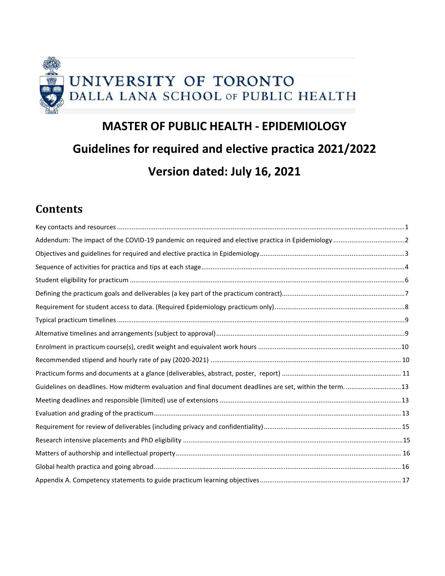

# **MASTER OF PUBLIC HEALTH - EPIDEMIOLOGY Guidelines for required and elective practica 2021/2022 Version dated: July 16, 2021**

# **Contents**

| Guidelines on deadlines. How midterm evaluation and final document deadlines are set, within the term.  13 |  |
|------------------------------------------------------------------------------------------------------------|--|
|                                                                                                            |  |
|                                                                                                            |  |
|                                                                                                            |  |
|                                                                                                            |  |
|                                                                                                            |  |
|                                                                                                            |  |
|                                                                                                            |  |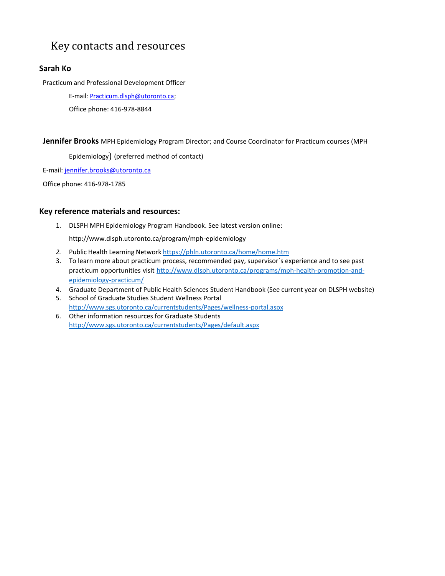# <span id="page-1-0"></span>Key contacts and resources

# **Sarah Ko**

Practicum and Professional Development Officer

E-mail: Practicum.dlsph@utoronto.ca;

Office phone: 416-978-8844

**Jennifer Brooks** MPH Epidemiology Program Director; and Course Coordinator for Practicum courses (MPH

Epidemiology) (preferred method of contact)

E-mail: [jennifer.brooks@utoronto.ca](mailto:jennifer.brooks@utoronto.ca)

Office phone: 416-978-1785

# **Key reference materials and resources:**

1. DLSPH MPH Epidemiology Program Handbook. See latest version onlin[e:](http://www.dlsph.utoronto.ca/program/mph-epidemiology)

<http://www.dlsph.utoronto.ca/program/mph-epidemiology>

- *2.* Public Health Learning Network <https://phln.utoronto.ca/home/home.htm>
- 3. To learn more about practicum process, recommended pay, supervisor`s experience and to see past practicum opportunities visit [http://www.dlsph.utoronto.ca/programs/mph-health-promotion-and](http://www.dlsph.utoronto.ca/programs/mph-health-promotion-and-epidemiology-practicum/)[epidemiology-practicum/](http://www.dlsph.utoronto.ca/programs/mph-health-promotion-and-epidemiology-practicum/)
- 4. Graduate Department of Public Health Sciences Student Handbook (See current year on DLSPH website) 5. School of Graduate Studies Student Wellness Portal
	- <http://www.sgs.utoronto.ca/currentstudents/Pages/wellness-portal.aspx>
- 6. Other information resources for Graduate Students <http://www.sgs.utoronto.ca/currentstudents/Pages/default.aspx>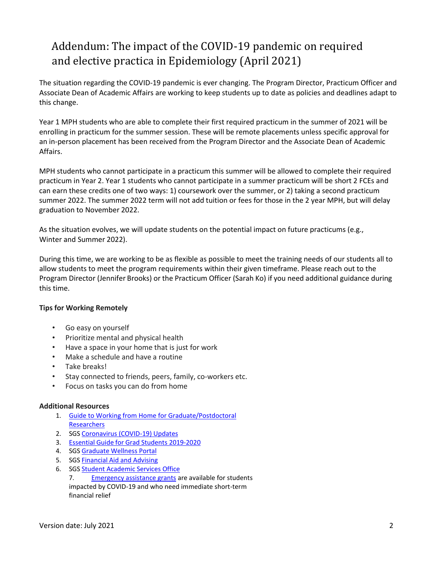# <span id="page-2-0"></span>Addendum: The impact of the COVID-19 pandemic on required and elective practica in Epidemiology (April 2021)

The situation regarding the COVID-19 pandemic is ever changing. The Program Director, Practicum Officer and Associate Dean of Academic Affairs are working to keep students up to date as policies and deadlines adapt to this change.

Year 1 MPH students who are able to complete their first required practicum in the summer of 2021 will be enrolling in practicum for the summer session. These will be remote placements unless specific approval for an in-person placement has been received from the Program Director and the Associate Dean of Academic Affairs.

MPH students who cannot participate in a practicum this summer will be allowed to complete their required practicum in Year 2. Year 1 students who cannot participate in a summer practicum will be short 2 FCEs and can earn these credits one of two ways: 1) coursework over the summer, or 2) taking a second practicum summer 2022. The summer 2022 term will not add tuition or fees for those in the 2 year MPH, but will delay graduation to November 2022.

As the situation evolves, we will update students on the potential impact on future practicums (e.g., Winter and Summer 2022).

During this time, we are working to be as flexible as possible to meet the training needs of our students all to allow students to meet the program requirements within their given timeframe. Please reach out to the Program Director (Jennifer Brooks) or the Practicum Officer (Sarah Ko) if you need additional guidance during this time.

# **Tips for Working Remotely**

- Go easy on yourself
- Prioritize mental and physical health
- Have a space in your home that is just for work
- Make a schedule and have a routine
- Take breaks!
- Stay connected to friends, peers, family, co-workers etc.
- Focus on tasks you can do from home

# **Additional Resources**

- 1. [Guide to Working from Home for Graduate/Postdoctoral](https://www.sgs.utoronto.ca/wp-content/uploads/sites/253/2020/04/Guide-to-Working-From-Home-for-Graduate_Postdoctoral-Researchers.pdf) **[Researchers](https://www.sgs.utoronto.ca/wp-content/uploads/sites/253/2020/04/Guide-to-Working-From-Home-for-Graduate_Postdoctoral-Researchers.pdf)**
- 2. SGS [Coronavirus](https://www.sgs.utoronto.ca/covid19/) (COVID-19) Updates
- 3. Essential Guide for Grad Students [2019-2020](https://www.sgs.utoronto.ca/wp-content/uploads/sites/253/2019/07/EssentialGuideforGrads.pdf)
- 4. SGS [Graduate](https://www.sgs.utoronto.ca/resources-supports/wellness-portal/) Wellness Portal
- 5. SGS **[Financial](mailto:sgs.financial.assistance@utoronto.ca) Aid and Advising**
- 6. SGS Student [Academic](mailto:graduate.information@utoronto.ca) Services [Office](mailto:graduate.information@utoronto.ca) 7. [Emergency assistance grants](https://www.sgs.utoronto.ca/awards/sgs-emergency-grant/) are available for students impacted by COVID-19 and who need immediate short-term financial relief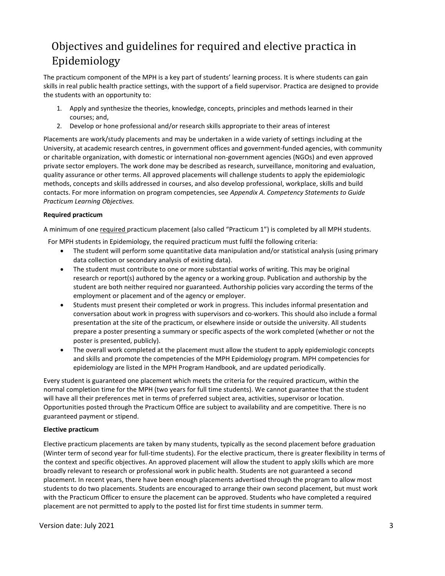# <span id="page-3-0"></span>Objectives and guidelines for required and elective practica in Epidemiology

The practicum component of the MPH is a key part of students' learning process. It is where students can gain skills in real public health practice settings, with the support of a field supervisor. Practica are designed to provide the students with an opportunity to:

- 1. Apply and synthesize the theories, knowledge, concepts, principles and methods learned in their courses; and,
- 2. Develop or hone professional and/or research skills appropriate to their areas of interest

Placements are work/study placements and may be undertaken in a wide variety of settings including at the University, at academic research centres, in government offices and government-funded agencies, with community or charitable organization, with domestic or international non-government agencies (NGOs) and even approved private sector employers. The work done may be described as research, surveillance, monitoring and evaluation, quality assurance or other terms. All approved placements will challenge students to apply the epidemiologic methods, concepts and skills addressed in courses, and also develop professional, workplace, skills and build contacts. For more information on program competencies, see *Appendix A. Competency Statements to Guide Practicum Learning Objectives.*

### **Required practicum**

A minimum of one required practicum placement (also called "Practicum 1") is completed by all MPH students.

For MPH students in Epidemiology, the required practicum must fulfil the following criteria:

- The student will perform some quantitative data manipulation and/or statistical analysis (using primary data collection or secondary analysis of existing data).
- The student must contribute to one or more substantial works of writing. This may be original research or report(s) authored by the agency or a working group. Publication and authorship by the student are both neither required nor guaranteed. Authorship policies vary according the terms of the employment or placement and of the agency or employer.
- Students must present their completed or work in progress. This includes informal presentation and conversation about work in progress with supervisors and co-workers. This should also include a formal presentation at the site of the practicum, or elsewhere inside or outside the university. All students prepare a poster presenting a summary or specific aspects of the work completed (whether or not the poster is presented, publicly).
- The overall work completed at the placement must allow the student to apply epidemiologic concepts and skills and promote the competencies of the MPH Epidemiology program. MPH competencies for epidemiology are listed in the MPH Program Handbook, and are updated periodically.

Every student is guaranteed one placement which meets the criteria for the required practicum, within the normal completion time for the MPH (two years for full time students). We cannot guarantee that the student will have all their preferences met in terms of preferred subject area, activities, supervisor or location. Opportunities posted through the Practicum Office are subject to availability and are competitive. There is no guaranteed payment or stipend.

### **Elective practicum**

Elective practicum placements are taken by many students, typically as the second placement before graduation (Winter term of second year for full-time students). For the elective practicum, there is greater flexibility in terms of the context and specific objectives. An approved placement will allow the student to apply skills which are more broadly relevant to research or professional work in public health. Students are not guaranteed a second placement. In recent years, there have been enough placements advertised through the program to allow most students to do two placements. Students are encouraged to arrange their own second placement, but must work with the Practicum Officer to ensure the placement can be approved. Students who have completed a required placement are not permitted to apply to the posted list for first time students in summer term.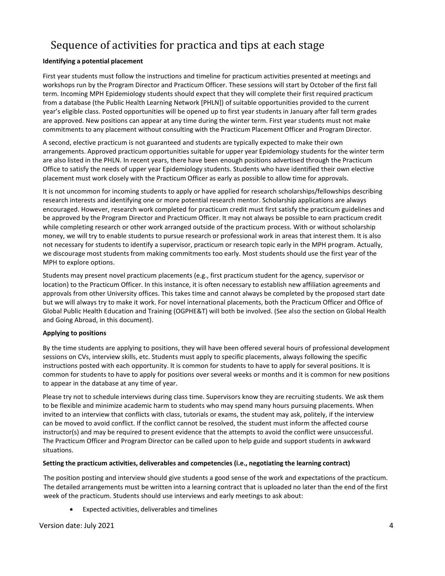# <span id="page-4-0"></span>Sequence of activities for practica and tips at each stage

# **Identifying a potential placement**

First year students must follow the instructions and timeline for practicum activities presented at meetings and workshops run by the Program Director and Practicum Officer. These sessions will start by October of the first fall term. Incoming MPH Epidemiology students should expect that they will complete their first required practicum from a database (the Public Health Learning Network [PHLN]) of suitable opportunities provided to the current year's eligible class. Posted opportunities will be opened up to first year students in January after fall term grades are approved. New positions can appear at any time during the winter term. First year students must not make commitments to any placement without consulting with the Practicum Placement Officer and Program Director.

A second, elective practicum is not guaranteed and students are typically expected to make their own arrangements. Approved practicum opportunities suitable for upper year Epidemiology students for the winter term are also listed in the PHLN. In recent years, there have been enough positions advertised through the Practicum Office to satisfy the needs of upper year Epidemiology students. Students who have identified their own elective placement must work closely with the Practicum Officer as early as possible to allow time for approvals.

It is not uncommon for incoming students to apply or have applied for research scholarships/fellowships describing research interests and identifying one or more potential research mentor. Scholarship applications are always encouraged. However, research work completed for practicum credit must first satisfy the practicum guidelines and be approved by the Program Director and Practicum Officer. It may not always be possible to earn practicum credit while completing research or other work arranged outside of the practicum process. With or without scholarship money, we will try to enable students to pursue research or professional work in areas that interest them. It is also not necessary for students to identify a supervisor, practicum or research topic early in the MPH program. Actually, we discourage most students from making commitments too early. Most students should use the first year of the MPH to explore options.

Students may present novel practicum placements (e.g., first practicum student for the agency, supervisor or location) to the Practicum Officer. In this instance, it is often necessary to establish new affiliation agreements and approvals from other University offices. This takes time and cannot always be completed by the proposed start date but we will always try to make it work. For novel international placements, both the Practicum Officer and Office of Global Public Health Education and Training (OGPHE&T) will both be involved. (See also the section on Global Health and Going Abroad, in this document).

### **Applying to positions**

By the time students are applying to positions, they will have been offered several hours of professional development sessions on CVs, interview skills, etc. Students must apply to specific placements, always following the specific instructions posted with each opportunity. It is common for students to have to apply for several positions. It is common for students to have to apply for positions over several weeks or months and it is common for new positions to appear in the database at any time of year.

Please try not to schedule interviews during class time. Supervisors know they are recruiting students. We ask them to be flexible and minimize academic harm to students who may spend many hours pursuing placements. When invited to an interview that conflicts with class, tutorials or exams, the student may ask, politely, if the interview can be moved to avoid conflict. If the conflict cannot be resolved, the student must inform the affected course instructor(s) and may be required to present evidence that the attempts to avoid the conflict were unsuccessful. The Practicum Officer and Program Director can be called upon to help guide and support students in awkward situations.

### **Setting the practicum activities, deliverables and competencies (i.e., negotiating the learning contract)**

The position posting and interview should give students a good sense of the work and expectations of the practicum. The detailed arrangements must be written into a learning contract that is uploaded no later than the end of the first week of the practicum. Students should use interviews and early meetings to ask about:

• Expected activities, deliverables and timelines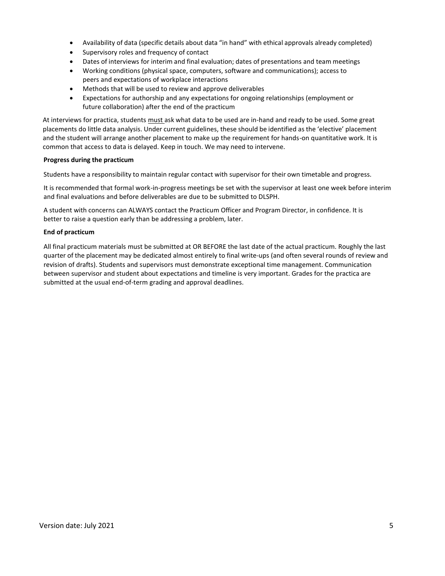- Availability of data (specific details about data "in hand" with ethical approvals already completed)
- Supervisory roles and frequency of contact
- Dates of interviews for interim and final evaluation; dates of presentations and team meetings
- Working conditions (physical space, computers, software and communications); access to peers and expectations of workplace interactions
- Methods that will be used to review and approve deliverables
- Expectations for authorship and any expectations for ongoing relationships (employment or future collaboration) after the end of the practicum

At interviews for practica, students must ask what data to be used are in-hand and ready to be used. Some great placements do little data analysis. Under current guidelines, these should be identified as the 'elective' placement and the student will arrange another placement to make up the requirement for hands-on quantitative work. It is common that access to data is delayed. Keep in touch. We may need to intervene.

### **Progress during the practicum**

Students have a responsibility to maintain regular contact with supervisor for their own timetable and progress.

It is recommended that formal work-in-progress meetings be set with the supervisor at least one week before interim and final evaluations and before deliverables are due to be submitted to DLSPH.

A student with concerns can ALWAYS contact the Practicum Officer and Program Director, in confidence. It is better to raise a question early than be addressing a problem, later.

### **End of practicum**

All final practicum materials must be submitted at OR BEFORE the last date of the actual practicum. Roughly the last quarter of the placement may be dedicated almost entirely to final write-ups (and often several rounds of review and revision of drafts). Students and supervisors must demonstrate exceptional time management. Communication between supervisor and student about expectations and timeline is very important. Grades for the practica are submitted at the usual end-of-term grading and approval deadlines.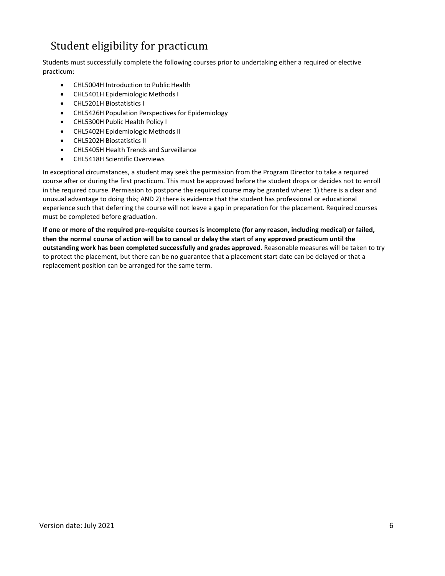# <span id="page-6-0"></span>Student eligibility for practicum

Students must successfully complete the following courses prior to undertaking either a required or elective practicum:

- CHL5004H Introduction to Public Health
- CHL5401H Epidemiologic Methods I
- CHL5201H Biostatistics I
- CHL5426H Population Perspectives for Epidemiology
- CHL5300H Public Health Policy I
- CHL5402H Epidemiologic Methods II
- CHL5202H Biostatistics II
- CHL5405H Health Trends and Surveillance
- CHL5418H Scientific Overviews

In exceptional circumstances, a student may seek the permission from the Program Director to take a required course after or during the first practicum. This must be approved before the student drops or decides not to enroll in the required course. Permission to postpone the required course may be granted where: 1) there is a clear and unusual advantage to doing this; AND 2) there is evidence that the student has professional or educational experience such that deferring the course will not leave a gap in preparation for the placement. Required courses must be completed before graduation.

**If one or more of the required pre-requisite courses is incomplete (for any reason, including medical) or failed, then the normal course of action will be to cancel or delay the start of any approved practicum until the outstanding work has been completed successfully and grades approved.** Reasonable measures will be taken to try to protect the placement, but there can be no guarantee that a placement start date can be delayed or that a replacement position can be arranged for the same term.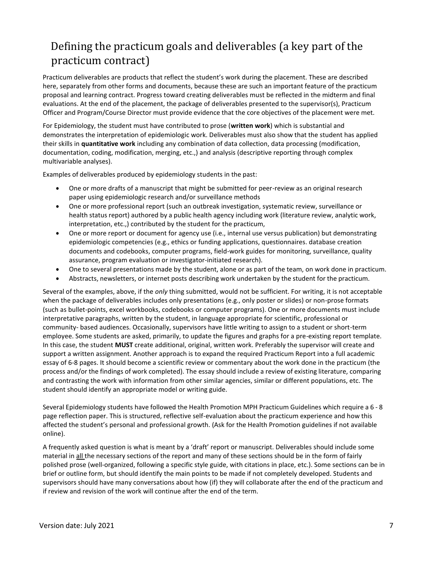# <span id="page-7-0"></span>Defining the practicum goals and deliverables (a key part of the practicum contract)

Practicum deliverables are products that reflect the student's work during the placement. These are described here, separately from other forms and documents, because these are such an important feature of the practicum proposal and learning contract. Progress toward creating deliverables must be reflected in the midterm and final evaluations. At the end of the placement, the package of deliverables presented to the supervisor(s), Practicum Officer and Program/Course Director must provide evidence that the core objectives of the placement were met.

For Epidemiology, the student must have contributed to prose (**written work**) which is substantial and demonstrates the interpretation of epidemiologic work. Deliverables must also show that the student has applied their skills in **quantitative work** including any combination of data collection, data processing (modification, documentation, coding, modification, merging, etc.,) and analysis (descriptive reporting through complex multivariable analyses).

Examples of deliverables produced by epidemiology students in the past:

- One or more drafts of a manuscript that might be submitted for peer-review as an original research paper using epidemiologic research and/or surveillance methods
- One or more professional report (such an outbreak investigation, systematic review, surveillance or health status report) authored by a public health agency including work (literature review, analytic work, interpretation, etc.,) contributed by the student for the practicum,
- One or more report or document for agency use (i.e., internal use versus publication) but demonstrating epidemiologic competencies (e.g., ethics or funding applications, questionnaires. database creation documents and codebooks, computer programs, field-work guides for monitoring, surveillance, quality assurance, program evaluation or investigator-initiated research).
- One to several presentations made by the student, alone or as part of the team, on work done in practicum.
- Abstracts, newsletters, or internet posts describing work undertaken by the student for the practicum.

Several of the examples, above, if the *only* thing submitted, would not be sufficient. For writing, it is not acceptable when the package of deliverables includes only presentations (e.g., only poster or slides) or non-prose formats (such as bullet-points, excel workbooks, codebooks or computer programs). One or more documents must include interpretative paragraphs, written by the student, in language appropriate for scientific, professional or community- based audiences. Occasionally, supervisors have little writing to assign to a student or short-term employee. Some students are asked, primarily, to update the figures and graphs for a pre-existing report template. In this case, the student **MUST** create additional, original, written work. Preferably the supervisor will create and support a written assignment. Another approach is to expand the required Practicum Report into a full academic essay of 6-8 pages. It should become a scientific review or commentary about the work done in the practicum (the process and/or the findings of work completed). The essay should include a review of existing literature, comparing and contrasting the work with information from other similar agencies, similar or different populations, etc. The student should identify an appropriate model or writing guide.

Several Epidemiology students have followed the Health Promotion MPH Practicum Guidelines which require a 6 - 8 page reflection paper. This is structured, reflective self-evaluation about the practicum experience and how this affected the student's personal and professional growth. (Ask for the Health Promotion guidelines if not available online).

A frequently asked question is what is meant by a 'draft' report or manuscript. Deliverables should include some material in all the necessary sections of the report and many of these sections should be in the form of fairly polished prose (well-organized, following a specific style guide, with citations in place, etc.). Some sections can be in brief or outline form, but should identify the main points to be made if not completely developed. Students and supervisors should have many conversations about how (if) they will collaborate after the end of the practicum and if review and revision of the work will continue after the end of the term.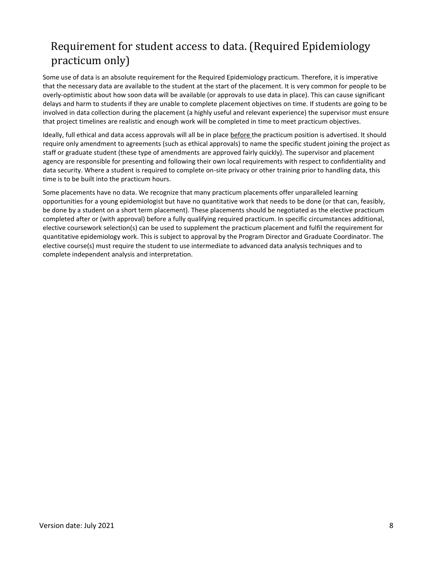# <span id="page-8-0"></span>Requirement for student access to data. (Required Epidemiology practicum only)

Some use of data is an absolute requirement for the Required Epidemiology practicum. Therefore, it is imperative that the necessary data are available to the student at the start of the placement. It is very common for people to be overly-optimistic about how soon data will be available (or approvals to use data in place). This can cause significant delays and harm to students if they are unable to complete placement objectives on time. If students are going to be involved in data collection during the placement (a highly useful and relevant experience) the supervisor must ensure that project timelines are realistic and enough work will be completed in time to meet practicum objectives.

Ideally, full ethical and data access approvals will all be in place before the practicum position is advertised. It should require only amendment to agreements (such as ethical approvals) to name the specific student joining the project as staff or graduate student (these type of amendments are approved fairly quickly). The supervisor and placement agency are responsible for presenting and following their own local requirements with respect to confidentiality and data security. Where a student is required to complete on-site privacy or other training prior to handling data, this time is to be built into the practicum hours.

Some placements have no data. We recognize that many practicum placements offer unparalleled learning opportunities for a young epidemiologist but have no quantitative work that needs to be done (or that can, feasibly, be done by a student on a short term placement). These placements should be negotiated as the elective practicum completed after or (with approval) before a fully qualifying required practicum. In specific circumstances additional, elective coursework selection(s) can be used to supplement the practicum placement and fulfil the requirement for quantitative epidemiology work. This is subject to approval by the Program Director and Graduate Coordinator. The elective course(s) must require the student to use intermediate to advanced data analysis techniques and to complete independent analysis and interpretation.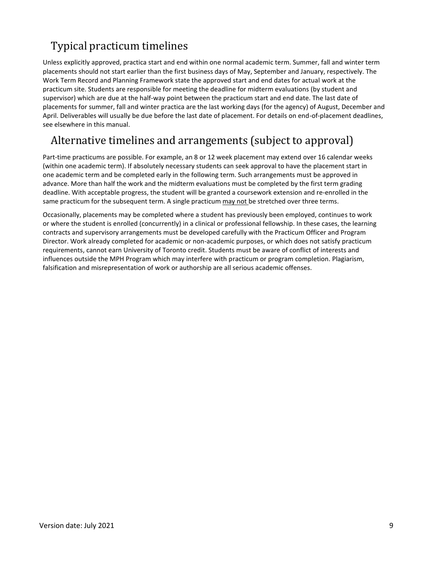# <span id="page-9-0"></span>Typical practicum timelines

Unless explicitly approved, practica start and end within one normal academic term. Summer, fall and winter term placements should not start earlier than the first business days of May, September and January, respectively. The Work Term Record and Planning Framework state the approved start and end dates for actual work at the practicum site. Students are responsible for meeting the deadline for midterm evaluations (by student and supervisor) which are due at the half-way point between the practicum start and end date. The last date of placements for summer, fall and winter practica are the last working days (for the agency) of August, December and April. Deliverables will usually be due before the last date of placement. For details on end-of-placement deadlines, see elsewhere in this manual.

# <span id="page-9-1"></span>Alternative timelines and arrangements (subject to approval)

Part-time practicums are possible. For example, an 8 or 12 week placement may extend over 16 calendar weeks (within one academic term). If absolutely necessary students can seek approval to have the placement start in one academic term and be completed early in the following term. Such arrangements must be approved in advance. More than half the work and the midterm evaluations must be completed by the first term grading deadline. With acceptable progress, the student will be granted a coursework extension and re-enrolled in the same practicum for the subsequent term. A single practicum may not be stretched over three terms.

Occasionally, placements may be completed where a student has previously been employed, continues to work or where the student is enrolled (concurrently) in a clinical or professional fellowship. In these cases, the learning contracts and supervisory arrangements must be developed carefully with the Practicum Officer and Program Director. Work already completed for academic or non-academic purposes, or which does not satisfy practicum requirements, cannot earn University of Toronto credit. Students must be aware of conflict of interests and influences outside the MPH Program which may interfere with practicum or program completion. Plagiarism, falsification and misrepresentation of work or authorship are all serious academic offenses.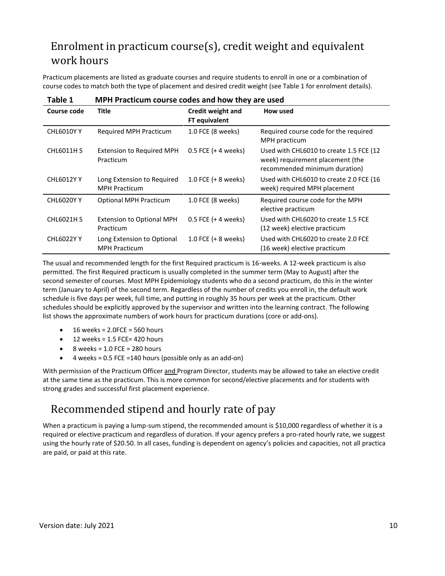# <span id="page-10-0"></span>Enrolment in practicum course(s), credit weight and equivalent work hours

Practicum placements are listed as graduate courses and require students to enroll in one or a combination of course codes to match both the type of placement and desired credit weight (see Table 1 for enrolment details).

| I ANIC 1<br><u>ITI III I ACCICUIII COUISE COUES AIIU IIUW CIIET AIE USEU</u> |                                                    |                                           |                                                                                                              |
|------------------------------------------------------------------------------|----------------------------------------------------|-------------------------------------------|--------------------------------------------------------------------------------------------------------------|
| Course code                                                                  | <b>Title</b>                                       | Credit weight and<br><b>FT</b> equivalent | How used                                                                                                     |
| <b>CHL6010Y Y</b>                                                            | <b>Required MPH Practicum</b>                      | 1.0 FCE (8 weeks)                         | Required course code for the required<br>MPH practicum                                                       |
| <b>CHL6011H S</b>                                                            | <b>Extension to Required MPH</b><br>Practicum      | $0.5$ FCE (+ 4 weeks)                     | Used with CHL6010 to create 1.5 FCE (12<br>week) requirement placement (the<br>recommended minimum duration) |
| <b>CHL6012YY</b>                                                             | Long Extension to Required<br><b>MPH Practicum</b> | 1.0 FCE $(+ 8$ weeks)                     | Used with CHL6010 to create 2.0 FCE (16<br>week) required MPH placement                                      |
| <b>CHL6020Y Y</b>                                                            | <b>Optional MPH Practicum</b>                      | 1.0 FCE (8 weeks)                         | Required course code for the MPH<br>elective practicum                                                       |
| <b>CHL6021H S</b>                                                            | <b>Extension to Optional MPH</b><br>Practicum      | $0.5$ FCE (+ 4 weeks)                     | Used with CHL6020 to create 1.5 FCE<br>(12 week) elective practicum                                          |
| <b>CHL6022YY</b>                                                             | Long Extension to Optional<br><b>MPH Practicum</b> | 1.0 FCE $(+ 8$ weeks)                     | Used with CHL6020 to create 2.0 FCE<br>(16 week) elective practicum                                          |

**Table 1 MPH Practicum course codes and how they are used**

The usual and recommended length for the first Required practicum is 16-weeks. A 12-week practicum is also permitted. The first Required practicum is usually completed in the summer term (May to August) after the second semester of courses. Most MPH Epidemiology students who do a second practicum, do this in the winter term (January to April) of the second term. Regardless of the number of credits you enroll in, the default work schedule is five days per week, full time, and putting in roughly 35 hours per week at the practicum. Other schedules should be explicitly approved by the supervisor and written into the learning contract. The following list shows the approximate numbers of work hours for practicum durations (core or add-ons).

- $\bullet$  16 weeks = 2.0FCE = 560 hours
- 12 weeks = 1.5 FCE= 420 hours
- 8 weeks = 1.0 FCE = 280 hours
- $\bullet$  4 weeks = 0.5 FCE = 140 hours (possible only as an add-on)

With permission of the Practicum Officer and Program Director, students may be allowed to take an elective credit at the same time as the practicum. This is more common for second/elective placements and for students with strong grades and successful first placement experience.

# <span id="page-10-1"></span>Recommended stipend and hourly rate of pay

When a practicum is paying a lump-sum stipend, the recommended amount is \$10,000 regardless of whether it is a required or elective practicum and regardless of duration. If your agency prefers a pro-rated hourly rate, we suggest using the hourly rate of \$20.50. In all cases, funding is dependent on agency's policies and capacities, not all practica are paid, or paid at this rate.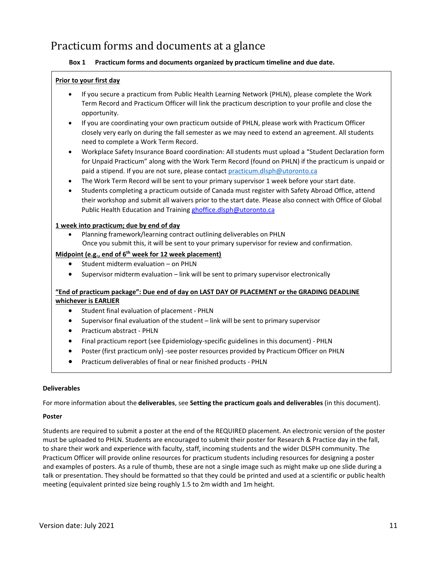# <span id="page-11-0"></span>Practicum forms and documents at a glance

# **Box 1 Practicum forms and documents organized by practicum timeline and due date.**

# **Prior to your first day**

- If you secure a practicum from Public Health Learning Network (PHLN), please complete the Work Term Record and Practicum Officer will link the practicum description to your profile and close the opportunity.
- If you are coordinating your own practicum outside of PHLN, please work with Practicum Officer closely very early on during the fall semester as we may need to extend an agreement. All students need to complete a Work Term Record.
- Workplace Safety Insurance Board coordination: All students must upload a "Student Declaration form for Unpaid Practicum" along with the Work Term Record (found on PHLN) if the practicum is unpaid or paid a stipend. If you are not sure, please contact [practicum.dlsph@utoronto.ca](mailto:practicum.dlsph@utoronto.ca)
- The Work Term Record will be sent to your primary supervisor 1 week before your start date.
- Students completing a practicum outside of Canada must register with Safety Abroad Office, attend their workshop and submit all waivers prior to the start date. Please also connect with Office of Global Public Health Education and Training [ghoffice.dlsph@utoronto.ca](mailto:ghoffice.dlsph@utoronto.ca)

### **1 week into practicum; due by end of day**

• Planning framework/learning contract outlining deliverables on PHLN Once you submit this, it will be sent to your primary supervisor for review and confirmation.

### **Midpoint (e.g., end of 6 th week for 12 week placement)**

- Student midterm evaluation on PHLN
- Supervisor midterm evaluation link will be sent to primary supervisor electronically

# **"End of practicum package": Due end of day on LAST DAY OF PLACEMENT or the GRADING DEADLINE whichever is EARLIER**

- Student final evaluation of placement PHLN
- Supervisor final evaluation of the student link will be sent to primary supervisor
- Practicum abstract PHLN
- Final practicum report (see Epidemiology-specific guidelines in this document) PHLN
- Poster (first practicum only) -see poster resources provided by Practicum Officer on PHLN
- Practicum deliverables of final or near finished products PHLN

### **Deliverables**

For more information about the **deliverables**, see **Setting the practicum goals and deliverables** (in this document).

### **Poster**

Students are required to submit a poster at the end of the REQUIRED placement. An electronic version of the poster must be uploaded to PHLN. Students are encouraged to submit their poster for Research & Practice day in the fall, to share their work and experience with faculty, staff, incoming students and the wider DLSPH community. The Practicum Officer will provide online resources for practicum students including resources for designing a poster and examples of posters. As a rule of thumb, these are not a single image such as might make up one slide during a talk or presentation. They should be formatted so that they could be printed and used at a scientific or public health meeting (equivalent printed size being roughly 1.5 to 2m width and 1m height.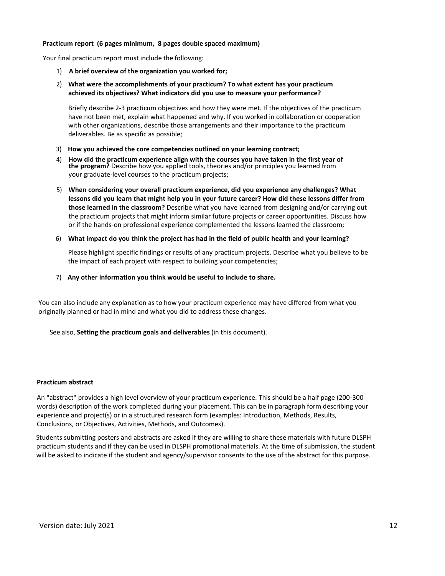#### **Practicum report (6 pages minimum, 8 pages double spaced maximum)**

Your final practicum report must include the following:

- 1) **A brief overview of the organization you worked for;**
- 2) **What were the accomplishments of your practicum? To what extent has your practicum achieved its objectives? What indicators did you use to measure your performance?**

Briefly describe 2-3 practicum objectives and how they were met. If the objectives of the practicum have not been met, explain what happened and why. If you worked in collaboration or cooperation with other organizations, describe those arrangements and their importance to the practicum deliverables. Be as specific as possible;

- 3) **How you achieved the core competencies outlined on your learning contract;**
- 4) **How did the practicum experience align with the courses you have taken in the first year of the program?** Describe how you applied tools, theories and/or principles you learned from your graduate-level courses to the practicum projects;
- 5) **When considering your overall practicum experience, did you experience any challenges? What lessons did you learn that might help you in your future career? How did these lessons differ from those learned in the classroom?** Describe what you have learned from designing and/or carrying out the practicum projects that might inform similar future projects or career opportunities. Discuss how or if the hands-on professional experience complemented the lessons learned the classroom;
- 6) **What impact do you think the project has had in the field of public health and your learning?**

Please highlight specific findings or results of any practicum projects. Describe what you believe to be the impact of each project with respect to building your competencies;

7) **Any other information you think would be useful to include to share.**

You can also include any explanation as to how your practicum experience may have differed from what you originally planned or had in mind and what you did to address these changes.

See also, **Setting the practicum goals and deliverables** (in this document).

### **Practicum abstract**

An "abstract" provides a high level overview of your practicum experience. This should be a half page (200-300 words) description of the work completed during your placement. This can be in paragraph form describing your experience and project(s) or in a structured research form (examples: Introduction, Methods, Results, Conclusions, or Objectives, Activities, Methods, and Outcomes).

Students submitting posters and abstracts are asked if they are willing to share these materials with future DLSPH practicum students and if they can be used in DLSPH promotional materials. At the time of submission, the student will be asked to indicate if the student and agency/supervisor consents to the use of the abstract for this purpose.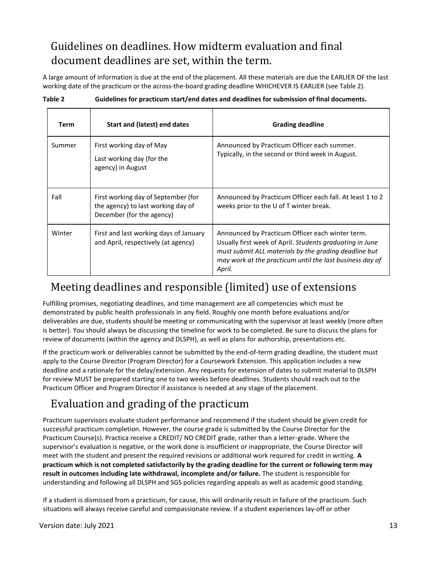# <span id="page-13-0"></span>Guidelines on deadlines. How midterm evaluation and final document deadlines are set, within the term.

A large amount of information is due at the end of the placement. All these materials are due the EARLIER OF the last working date of the practicum or the across-the-board grading deadline WHICHEVER IS EARLIER (see Table 2).

| Table 2 | Guidelines for practicum start/end dates and deadlines for submission of final documents. |
|---------|-------------------------------------------------------------------------------------------|
|         |                                                                                           |

| <b>Term</b> | Start and (latest) end dates                                                                           | <b>Grading deadline</b>                                                                                                                                                                                                                     |
|-------------|--------------------------------------------------------------------------------------------------------|---------------------------------------------------------------------------------------------------------------------------------------------------------------------------------------------------------------------------------------------|
| Summer      | First working day of May<br>Last working day (for the<br>agency) in August                             | Announced by Practicum Officer each summer.<br>Typically, in the second or third week in August.                                                                                                                                            |
| Fall        | First working day of September (for<br>the agency) to last working day of<br>December (for the agency) | Announced by Practicum Officer each fall. At least 1 to 2<br>weeks prior to the U of T winter break.                                                                                                                                        |
| Winter      | First and last working days of January<br>and April, respectively (at agency)                          | Announced by Practicum Officer each winter term.<br>Usually first week of April. Students graduating in June<br>must submit ALL materials by the grading deadline but<br>may work at the practicum until the last business day of<br>April. |

# <span id="page-13-1"></span>Meeting deadlines and responsible (limited) use of extensions

Fulfilling promises, negotiating deadlines, and time management are all competencies which must be demonstrated by public health professionals in any field. Roughly one month before evaluations and/or deliverables are due, students should be meeting or communicating with the supervisor at least weekly (more often is better). You should always be discussing the timeline for work to be completed. Be sure to discuss the plans for review of documents (within the agency and DLSPH), as well as plans for authorship, presentations etc.

If the practicum work or deliverables cannot be submitted by the end-of-term grading deadline, the student must apply to the Course Director (Program Director) for a Coursework Extension. This application includes a new deadline and a rationale for the delay/extension. Any requests for extension of dates to submit material to DLSPH for review MUST be prepared starting one to two weeks before deadlines. Students should reach out to the Practicum Officer and Program Director if assistance is needed at any stage of the placement.

# <span id="page-13-2"></span>Evaluation and grading of the practicum

Practicum supervisors evaluate student performance and recommend if the student should be given credit for successful practicum completion. However, the course grade is submitted by the Course Director for the Practicum Course(s). Practica receive a CREDIT/ NO CREDIT grade, rather than a letter‐grade. Where the supervisor's evaluation is negative, or the work done is insufficient or inappropriate, the Course Director will meet with the student and present the required revisions or additional work required for credit in writing. **A practicum which is not completed satisfactorily by the grading deadline for the current or following term may result in outcomes including late withdrawal, incomplete and/or failure.** The student is responsible for understanding and following all DLSPH and SGS policies regarding appeals as well as academic good standing.

If a student is dismissed from a practicum, for cause, this will ordinarily result in failure of the practicum. Such situations will always receive careful and compassionate review. If a student experiences lay-off or other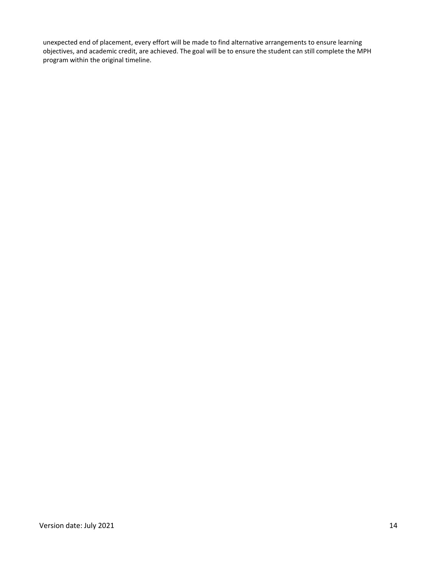unexpected end of placement, every effort will be made to find alternative arrangements to ensure learning objectives, and academic credit, are achieved. The goal will be to ensure the student can still complete the MPH program within the original timeline.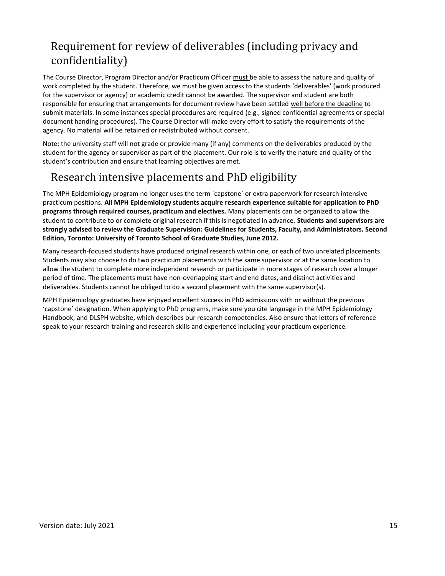# <span id="page-15-0"></span>Requirement for review of deliverables (including privacy and confidentiality)

The Course Director, Program Director and/or Practicum Officer must be able to assess the nature and quality of work completed by the student. Therefore, we must be given access to the students 'deliverables' (work produced for the supervisor or agency) or academic credit cannot be awarded. The supervisor and student are both responsible for ensuring that arrangements for document review have been settled well before the deadline to submit materials. In some instances special procedures are required (e.g., signed confidential agreements or special document handing procedures). The Course Director will make every effort to satisfy the requirements of the agency. No material will be retained or redistributed without consent.

Note: the university staff will not grade or provide many (if any) comments on the deliverables produced by the student for the agency or supervisor as part of the placement. Our role is to verify the nature and quality of the student's contribution and ensure that learning objectives are met.

# <span id="page-15-1"></span>Research intensive placements and PhD eligibility

The MPH Epidemiology program no longer uses the term `capstone` or extra paperwork for research intensive practicum positions. **All MPH Epidemiology students acquire research experience suitable for application to PhD programs through required courses, practicum and electives.** Many placements can be organized to allow the student to contribute to or complete original research if this is negotiated in advance. **Students and supervisors are strongly advised to review the Graduate Supervision: Guidelines for Students, Faculty, and Administrators. Second Edition, Toronto: University of Toronto School of Graduate Studies, June 2012.**

Many research-focused students have produced original research within one, or each of two unrelated placements. Students may also choose to do two practicum placements with the same supervisor or at the same location to allow the student to complete more independent research or participate in more stages of research over a longer period of time. The placements must have non-overlapping start and end dates, and distinct activities and deliverables. Students cannot be obliged to do a second placement with the same supervisor(s).

MPH Epidemiology graduates have enjoyed excellent success in PhD admissions with or without the previous 'capstone' designation. When applying to PhD programs, make sure you cite language in the MPH Epidemiology Handbook, and DLSPH website, which describes our research competencies. Also ensure that letters of reference speak to your research training and research skills and experience including your practicum experience.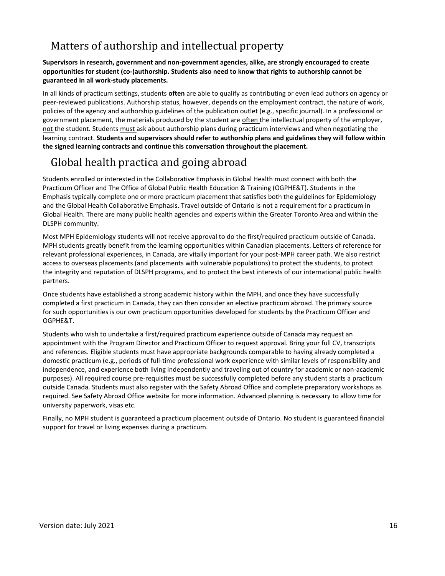# <span id="page-16-0"></span>Matters of authorship and intellectual property

# **Supervisors in research, government and non-government agencies, alike, are strongly encouraged to create opportunities for student (co-)authorship. Students also need to know that rights to authorship cannot be guaranteed in all work-study placements.**

In all kinds of practicum settings, students **often** are able to qualify as contributing or even lead authors on agency or peer-reviewed publications. Authorship status, however, depends on the employment contract, the nature of work, policies of the agency and authorship guidelines of the publication outlet (e.g., specific journal). In a professional or government placement, the materials produced by the student are often the intellectual property of the employer, not the student. Students must ask about authorship plans during practicum interviews and when negotiating the learning contract. **Students and supervisors should refer to authorship plans and guidelines they will follow within the signed learning contracts and continue this conversation throughout the placement.**

# <span id="page-16-1"></span>Global health practica and going abroad

Students enrolled or interested in the Collaborative Emphasis in Global Health must connect with both the Practicum Officer and The Office of Global Public Health Education & Training (OGPHE&T). Students in the Emphasis typically complete one or more practicum placement that satisfies both the guidelines for Epidemiology and the Global Health Collaborative Emphasis. Travel outside of Ontario is not a requirement for a practicum in Global Health. There are many public health agencies and experts within the Greater Toronto Area and within the DLSPH community.

Most MPH Epidemiology students will not receive approval to do the first/required practicum outside of Canada. MPH students greatly benefit from the learning opportunities within Canadian placements. Letters of reference for relevant professional experiences, in Canada, are vitally important for your post-MPH career path. We also restrict access to overseas placements (and placements with vulnerable populations) to protect the students, to protect the integrity and reputation of DLSPH programs, and to protect the best interests of our international public health partners.

Once students have established a strong academic history within the MPH, and once they have successfully completed a first practicum in Canada, they can then consider an elective practicum abroad. The primary source for such opportunities is our own practicum opportunities developed for students by the Practicum Officer and OGPHE&T.

Students who wish to undertake a first/required practicum experience outside of Canada may request an appointment with the Program Director and Practicum Officer to request approval. Bring your full CV, transcripts and references. Eligible students must have appropriate backgrounds comparable to having already completed a domestic practicum (e.g., periods of full-time professional work experience with similar levels of responsibility and independence, and experience both living independently and traveling out of country for academic or non-academic purposes). All required course pre-requisites must be successfully completed before any student starts a practicum outside Canada. Students must also register with the Safety Abroad Office and complete preparatory workshops as required. See Safety Abroad Office website for more information. Advanced planning is necessary to allow time for university paperwork, visas etc.

Finally, no MPH student is guaranteed a practicum placement outside of Ontario. No student is guaranteed financial support for travel or living expenses during a practicum.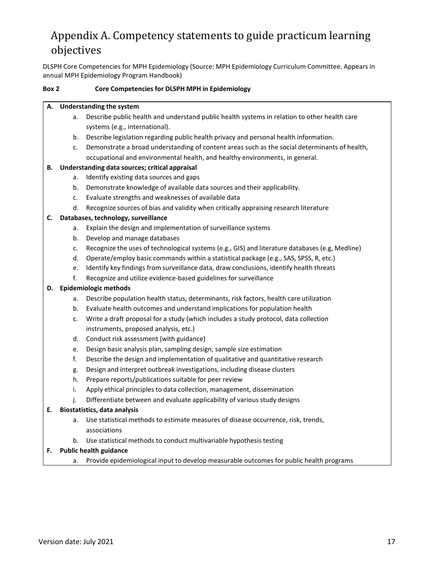# <span id="page-17-0"></span>Appendix A. Competency statements to guide practicum learning objectives

DLSPH Core Competencies for MPH Epidemiology (Source: MPH Epidemiology Curriculum Committee. Appears in annual MPH Epidemiology Program Handbook)

### **Box 2 Core Competencies for DLSPH MPH in Epidemiology**

#### **A. Understanding the system**

- a. Describe public health and understand public health systems in relation to other health care systems (e.g., international).
- b. Describe legislation regarding public health privacy and personal health information.
- c. Demonstrate a broad understanding of content areas such as the social determinants of health, occupational and environmental health, and healthy environments, in general.

### **B. Understanding data sources; critical appraisal**

- a. Identify existing data sources and gaps
- b. Demonstrate knowledge of available data sources and their applicability.
- c. Evaluate strengths and weaknesses of available data
- d. Recognize sources of bias and validity when critically appraising research literature

### **C. Databases, technology, surveillance**

- a. Explain the design and implementation of surveillance systems
- b. Develop and manage databases
- c. Recognize the uses of technological systems (e.g., GIS) and literature databases (e.g, Medline)
- d. Operate/employ basic commands within a statistical package (e.g., SAS, SPSS, R, etc.)
- e. Identify key findings from surveillance data, draw conclusions, identify health threats
- f. Recognize and utilize evidence-based guidelines for surveillance

### **D. Epidemiologic methods**

- a. Describe population health status, determinants, risk factors, health care utilization
- b. Evaluate health outcomes and understand implications for population health
- c. Write a draft proposal for a study (which includes a study protocol, data collection instruments, proposed analysis, etc.)
- d. Conduct risk assessment (with guidance)
- e. Design basic analysis plan, sampling design, sample size estimation
- f. Describe the design and implementation of qualitative and quantitative research
- g. Design and interpret outbreak investigations, including disease clusters
- h. Prepare reports/publications suitable for peer review
- i. Apply ethical principles to data collection, management, dissemination
- j. Differentiate between and evaluate applicability of various study designs

### **E. Biostatistics, data analysis**

- a. Use statistical methods to estimate measures of disease occurrence, risk, trends, associations
- b. Use statistical methods to conduct multivariable hypothesis testing

### **F. Public health guidance**

a. Provide epidemiological input to develop measurable outcomes for public health programs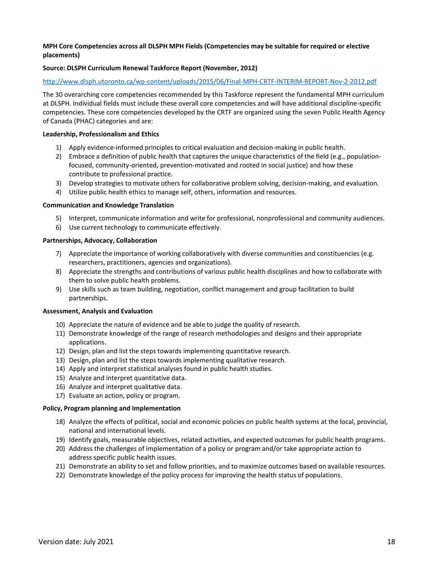### **MPH Core Competencies across all DLSPH MPH Fields (Competencies may be suitable for required or elective placements)**

### **Source: DLSPH Curriculum Renewal Taskforce Report (November, 2012)**

#### <http://www.dlsph.utoronto.ca/wp-content/uploads/2015/06/Final-MPH-CRTF-INTERIM-REPORT-Nov-2-2012.pdf>

The 30 overarching core competencies recommended by this Taskforce represent the fundamental MPH curriculum at DLSPH. Individual fields must include these overall core competencies and will have additional discipline-specific competencies. These core competencies developed by the CRTF are organized using the seven Public Health Agency of Canada (PHAC) categories and are:

#### **Leadership, Professionalism and Ethics**

- 1) Apply evidence-informed principles to critical evaluation and decision-making in public health.
- 2) Embrace a definition of public health that captures the unique characteristics of the field (e.g., populationfocused, community-oriented, prevention-motivated and rooted in social justice) and how these contribute to professional practice.
- 3) Develop strategies to motivate others for collaborative problem solving, decision-making, and evaluation.
- 4) Utilize public health ethics to manage self, others, information and resources.

#### **Communication and Knowledge Translation**

- 5) Interpret, communicate information and write for professional, nonprofessional and community audiences.
- 6) Use current technology to communicate effectively.

#### **Partnerships, Advocacy, Collaboration**

- 7) Appreciate the importance of working collaboratively with diverse communities and constituencies (e.g. researchers, practitioners, agencies and organizations).
- 8) Appreciate the strengths and contributions of various public health disciplines and how to collaborate with them to solve public health problems.
- 9) Use skills such as team building, negotiation, conflict management and group facilitation to build partnerships.

#### **Assessment, Analysis and Evaluation**

- 10) Appreciate the nature of evidence and be able to judge the quality of research.
- 11) Demonstrate knowledge of the range of research methodologies and designs and their appropriate applications.
- 12) Design, plan and list the steps towards implementing quantitative research.
- 13) Design, plan and list the steps towards implementing qualitative research.
- 14) Apply and interpret statistical analyses found in public health studies.
- 15) Analyze and interpret quantitative data.
- 16) Analyze and interpret qualitative data.
- 17) Evaluate an action, policy or program.

#### **Policy, Program planning and Implementation**

- 18) Analyze the effects of political, social and economic policies on public health systems at the local, provincial, national and international levels.
- 19) Identify goals, measurable objectives, related activities, and expected outcomes for public health programs.
- 20) Address the challenges of implementation of a policy or program and/or take appropriate action to address specific public health issues.
- 21) Demonstrate an ability to set and follow priorities, and to maximize outcomes based on available resources.
- 22) Demonstrate knowledge of the policy process for improving the health status of populations.